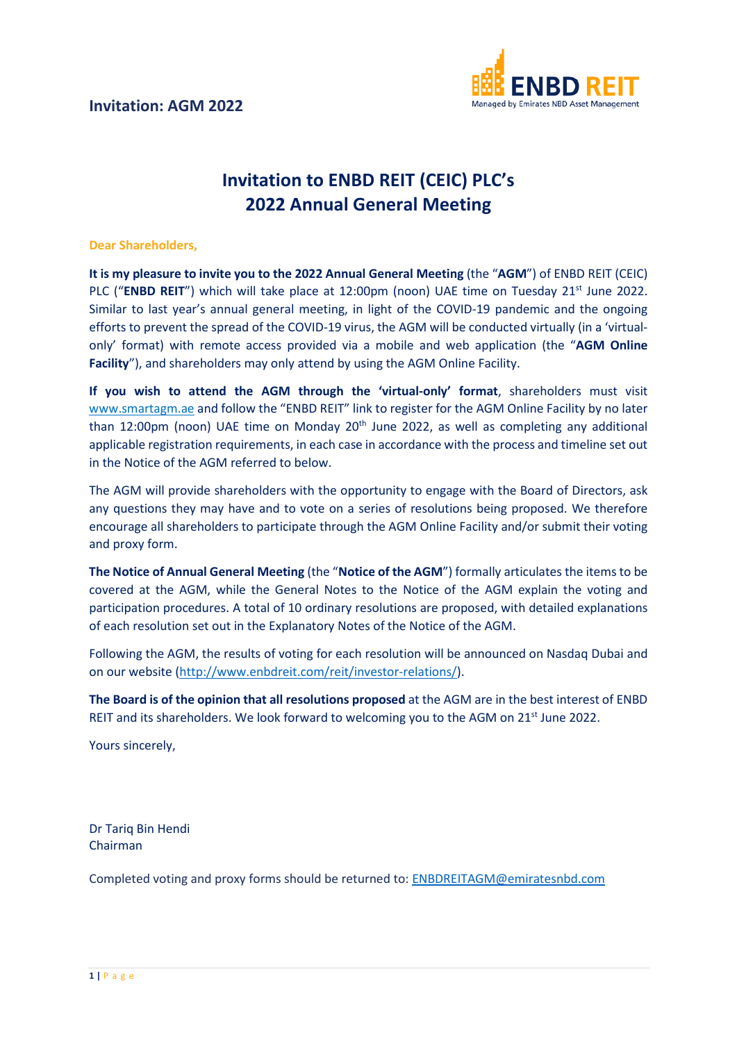

## **Invitation to ENBD REIT (CEIC) PLC's 2022 Annual General Meeting**

## **Dear Shareholders,**

**It is my pleasure to invite you to the 2022 Annual General Meeting** (the "**AGM**") of ENBD REIT (CEIC) PLC ("**ENBD REIT**") which will take place at 12:00pm (noon) UAE time on Tuesday 21<sup>st</sup> June 2022. Similar to last year's annual general meeting, in light of the COVID-19 pandemic and the ongoing efforts to prevent the spread of the COVID-19 virus, the AGM will be conducted virtually (in a 'virtualonly' format) with remote access provided via a mobile and web application (the "**AGM Online Facility**"), and shareholders may only attend by using the AGM Online Facility.

**If you wish to attend the AGM through the 'virtual-only' format**, shareholders must visit [www.smartagm.ae](http://www.smartagm.ae/) and follow the "ENBD REIT" link to register for the AGM Online Facility by no later than 12:00pm (noon) UAE time on Monday 20<sup>th</sup> June 2022, as well as completing any additional applicable registration requirements, in each case in accordance with the process and timeline set out in the Notice of the AGM referred to below.

The AGM will provide shareholders with the opportunity to engage with the Board of Directors, ask any questions they may have and to vote on a series of resolutions being proposed. We therefore encourage all shareholders to participate through the AGM Online Facility and/or submit their voting and proxy form.

**The Notice of Annual General Meeting** (the "**Notice of the AGM**") formally articulates the items to be covered at the AGM, while the General Notes to the Notice of the AGM explain the voting and participation procedures. A total of 10 ordinary resolutions are proposed, with detailed explanations of each resolution set out in the Explanatory Notes of the Notice of the AGM.

Following the AGM, the results of voting for each resolution will be announced on Nasdaq Dubai and on our website [\(http://www.enbdreit.com/reit/investor-relations/\)](http://www.enbdreit.com/reit/investor-relations/).

**The Board is of the opinion that all resolutions proposed** at the AGM are in the best interest of ENBD REIT and its shareholders. We look forward to welcoming you to the AGM on  $21<sup>st</sup>$  June 2022.

Yours sincerely,

Dr Tariq Bin Hendi Chairman

Completed voting and proxy forms should be returned to: [ENBDREITAGM@emiratesnbd.com](mailto:ENBDREITAGM@emiratesnbd.com)